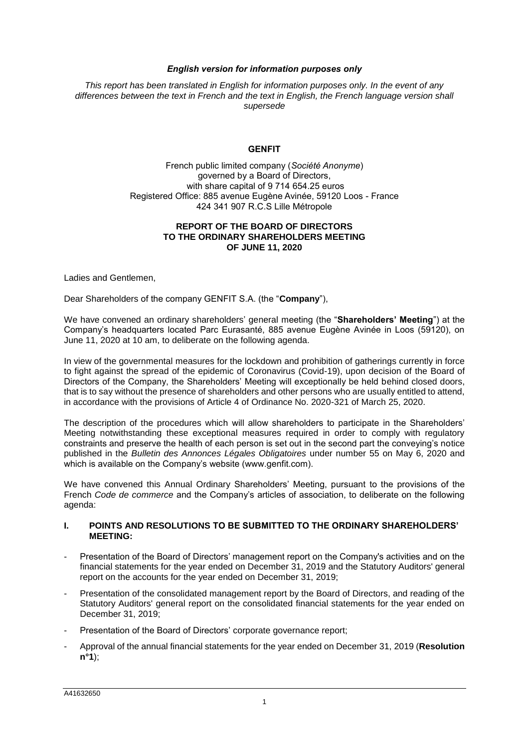# *English version for information purposes only*

*This report has been translated in English for information purposes only. In the event of any differences between the text in French and the text in English, the French language version shall supersede*

# **GENFIT**

French public limited company (*Société Anonyme*) governed by a Board of Directors, with share capital of 9 714 654.25 euros Registered Office: 885 avenue Eugène Avinée, 59120 Loos - France 424 341 907 R.C.S Lille Métropole

# **REPORT OF THE BOARD OF DIRECTORS TO THE ORDINARY SHAREHOLDERS MEETING OF JUNE 11, 2020**

Ladies and Gentlemen,

Dear Shareholders of the company GENFIT S.A. (the "**Company**"),

We have convened an ordinary shareholders' general meeting (the "**Shareholders' Meeting**") at the Company's headquarters located Parc Eurasanté, 885 avenue Eugène Avinée in Loos (59120), on June 11, 2020 at 10 am, to deliberate on the following agenda.

In view of the governmental measures for the lockdown and prohibition of gatherings currently in force to fight against the spread of the epidemic of Coronavirus (Covid-19), upon decision of the Board of Directors of the Company, the Shareholders' Meeting will exceptionally be held behind closed doors, that is to say without the presence of shareholders and other persons who are usually entitled to attend, in accordance with the provisions of Article 4 of Ordinance No. 2020-321 of March 25, 2020.

The description of the procedures which will allow shareholders to participate in the Shareholders' Meeting notwithstanding these exceptional measures required in order to comply with regulatory constraints and preserve the health of each person is set out in the second part the conveying's notice published in the *Bulletin des Annonces Légales Obligatoires* under number 55 on May 6, 2020 and which is available on the Company's website (www.genfit.com).

We have convened this Annual Ordinary Shareholders' Meeting, pursuant to the provisions of the French *Code de commerce* and the Company's articles of association, to deliberate on the following agenda:

# **I. POINTS AND RESOLUTIONS TO BE SUBMITTED TO THE ORDINARY SHAREHOLDERS' MEETING:**

- Presentation of the Board of Directors' management report on the Company's activities and on the financial statements for the year ended on December 31, 2019 and the Statutory Auditors' general report on the accounts for the year ended on December 31, 2019;
- Presentation of the consolidated management report by the Board of Directors, and reading of the Statutory Auditors' general report on the consolidated financial statements for the year ended on December 31, 2019;
- Presentation of the Board of Directors' corporate governance report;
- Approval of the annual financial statements for the year ended on December 31, 2019 (**Resolution n°1**);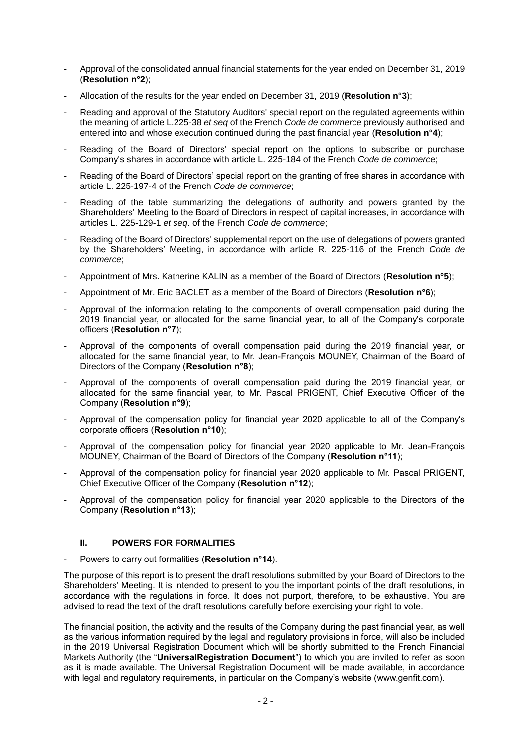- Approval of the consolidated annual financial statements for the year ended on December 31, 2019 (**Resolution n°2**);
- Allocation of the results for the year ended on December 31, 2019 (**Resolution n°3**);
- Reading and approval of the Statutory Auditors' special report on the regulated agreements within the meaning of article L.225-38 *et seq* of the French *Code de commerce* previously authorised and entered into and whose execution continued during the past financial year (**Resolution n°4**);
- Reading of the Board of Directors' special report on the options to subscribe or purchase Company's shares in accordance with article L. 225-184 of the French *Code de commerc*e;
- Reading of the Board of Directors' special report on the granting of free shares in accordance with article L. 225-197-4 of the French *Code de commerce*;
- Reading of the table summarizing the delegations of authority and powers granted by the Shareholders' Meeting to the Board of Directors in respect of capital increases, in accordance with articles L. 225-129-1 *et seq*. of the French *Code de commerce*;
- Reading of the Board of Directors' supplemental report on the use of delegations of powers granted by the Shareholders' Meeting, in accordance with article R. 225-116 of the French *Code de commerce*;
- Appointment of Mrs. Katherine KALIN as a member of the Board of Directors (**Resolution n°5**);
- Appointment of Mr. Eric BACLET as a member of the Board of Directors (**Resolution n°6**);
- Approval of the information relating to the components of overall compensation paid during the 2019 financial year, or allocated for the same financial year, to all of the Company's corporate officers (**Resolution n°7**);
- Approval of the components of overall compensation paid during the 2019 financial year, or allocated for the same financial year, to Mr. Jean-François MOUNEY, Chairman of the Board of Directors of the Company (**Resolution n°8**);
- Approval of the components of overall compensation paid during the 2019 financial year, or allocated for the same financial year, to Mr. Pascal PRIGENT, Chief Executive Officer of the Company (**Resolution n°9**);
- Approval of the compensation policy for financial year 2020 applicable to all of the Company's corporate officers (**Resolution n°10**);
- Approval of the compensation policy for financial year 2020 applicable to Mr. Jean-François MOUNEY, Chairman of the Board of Directors of the Company (**Resolution n°11**);
- Approval of the compensation policy for financial year 2020 applicable to Mr. Pascal PRIGENT, Chief Executive Officer of the Company (**Resolution n°12**);
- Approval of the compensation policy for financial year 2020 applicable to the Directors of the Company (**Resolution n°13**);

# **II. POWERS FOR FORMALITIES**

- Powers to carry out formalities (**Resolution n°14**).

The purpose of this report is to present the draft resolutions submitted by your Board of Directors to the Shareholders' Meeting. It is intended to present to you the important points of the draft resolutions, in accordance with the regulations in force. It does not purport, therefore, to be exhaustive. You are advised to read the text of the draft resolutions carefully before exercising your right to vote.

The financial position, the activity and the results of the Company during the past financial year, as well as the various information required by the legal and regulatory provisions in force, will also be included in the 2019 Universal Registration Document which will be shortly submitted to the French Financial Markets Authority (the "**UniversalRegistration Document**") to which you are invited to refer as soon as it is made available. The Universal Registration Document will be made available, in accordance with legal and regulatory requirements, in particular on the Company's website (www.genfit.com).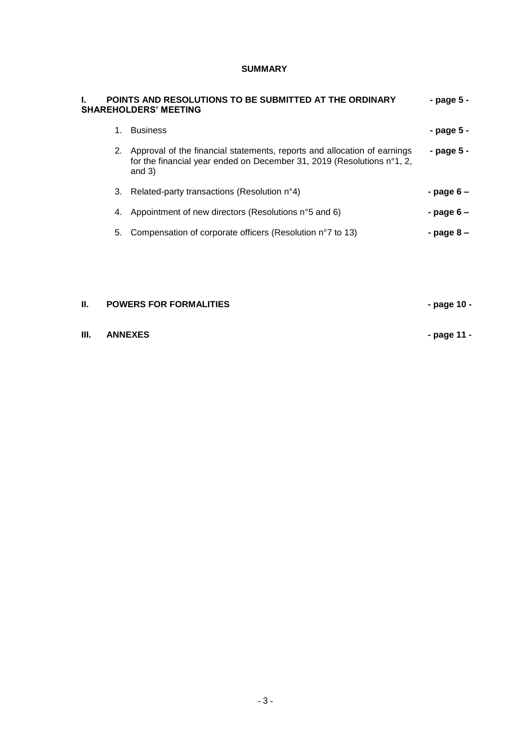# **SUMMARY**

|    | POINTS AND RESOLUTIONS TO BE SUBMITTED AT THE ORDINARY<br><b>SHAREHOLDERS' MEETING</b>                                                                         | - page 5 -  |
|----|----------------------------------------------------------------------------------------------------------------------------------------------------------------|-------------|
| 1. | <b>Business</b>                                                                                                                                                | - page 5 -  |
| 2. | Approval of the financial statements, reports and allocation of earnings<br>for the financial year ended on December 31, 2019 (Resolutions n°1, 2,<br>and $3)$ | - page 5 -  |
| 3. | Related-party transactions (Resolution n°4)                                                                                                                    | - page 6 –  |
| 4. | Appointment of new directors (Resolutions n°5 and 6)                                                                                                           | - page $6-$ |
| 5. | Compensation of corporate officers (Resolution n°7 to 13)                                                                                                      | - page 8 –  |
|    |                                                                                                                                                                |             |

# **II. POWERS FOR FORMALITIES - page 10 -**

**III. ANNEXES - page 11 -**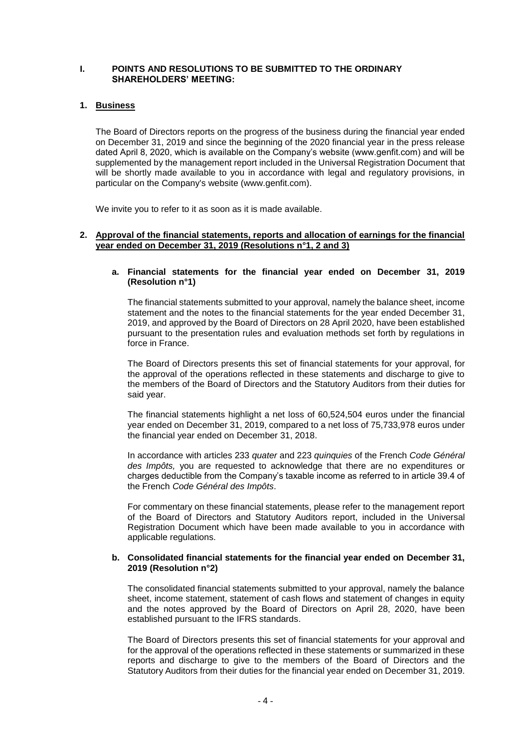# **I. POINTS AND RESOLUTIONS TO BE SUBMITTED TO THE ORDINARY SHAREHOLDERS' MEETING:**

# **1. Business**

The Board of Directors reports on the progress of the business during the financial year ended on December 31, 2019 and since the beginning of the 2020 financial year in the press release dated April 8, 2020, which is available on the Company's website (www.genfit.com) and will be supplemented by the management report included in the Universal Registration Document that will be shortly made available to you in accordance with legal and regulatory provisions, in particular on the Company's website (www.genfit.com).

We invite you to refer to it as soon as it is made available.

#### **2. Approval of the financial statements, reports and allocation of earnings for the financial year ended on December 31, 2019 (Resolutions n°1, 2 and 3)**

# **a. Financial statements for the financial year ended on December 31, 2019 (Resolution n°1)**

The financial statements submitted to your approval, namely the balance sheet, income statement and the notes to the financial statements for the year ended December 31, 2019, and approved by the Board of Directors on 28 April 2020, have been established pursuant to the presentation rules and evaluation methods set forth by regulations in force in France.

The Board of Directors presents this set of financial statements for your approval, for the approval of the operations reflected in these statements and discharge to give to the members of the Board of Directors and the Statutory Auditors from their duties for said year.

The financial statements highlight a net loss of 60,524,504 euros under the financial year ended on December 31, 2019, compared to a net loss of 75,733,978 euros under the financial year ended on December 31, 2018.

In accordance with articles 233 *quater* and 223 *quinquies* of the French *Code Général des Impôts,* you are requested to acknowledge that there are no expenditures or charges deductible from the Company's taxable income as referred to in article 39.4 of the French *Code Général des Impôts*.

For commentary on these financial statements, please refer to the management report of the Board of Directors and Statutory Auditors report, included in the Universal Registration Document which have been made available to you in accordance with applicable regulations.

#### **b. Consolidated financial statements for the financial year ended on December 31, 2019 (Resolution n°2)**

The consolidated financial statements submitted to your approval, namely the balance sheet, income statement, statement of cash flows and statement of changes in equity and the notes approved by the Board of Directors on April 28, 2020, have been established pursuant to the IFRS standards.

The Board of Directors presents this set of financial statements for your approval and for the approval of the operations reflected in these statements or summarized in these reports and discharge to give to the members of the Board of Directors and the Statutory Auditors from their duties for the financial year ended on December 31, 2019.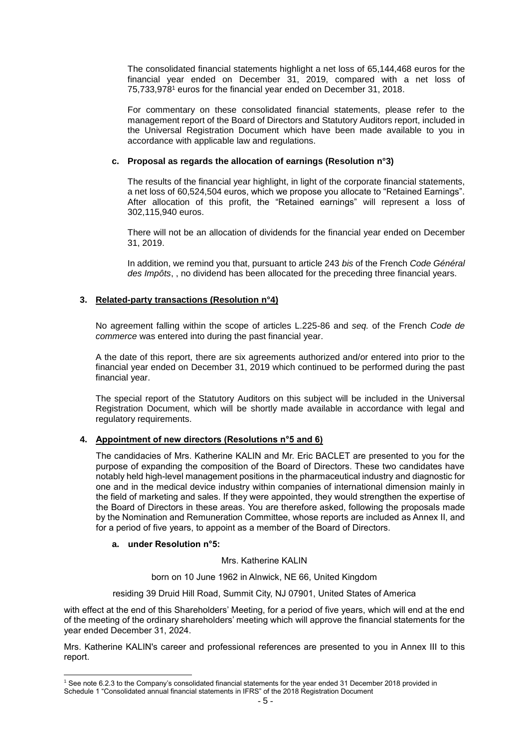The consolidated financial statements highlight a net loss of 65,144,468 euros for the financial year ended on December 31, 2019, compared with a net loss of 75,733,978<sup>1</sup> euros for the financial year ended on December 31, 2018.

For commentary on these consolidated financial statements, please refer to the management report of the Board of Directors and Statutory Auditors report, included in the Universal Registration Document which have been made available to you in accordance with applicable law and regulations.

# **c. Proposal as regards the allocation of earnings (Resolution n°3)**

The results of the financial year highlight, in light of the corporate financial statements, a net loss of 60,524,504 euros, which we propose you allocate to "Retained Earnings". After allocation of this profit, the "Retained earnings" will represent a loss of 302,115,940 euros.

There will not be an allocation of dividends for the financial year ended on December 31, 2019.

In addition, we remind you that, pursuant to article 243 *bis* of the French *Code Général des Impôts*, , no dividend has been allocated for the preceding three financial years.

# **3. Related-party transactions (Resolution n°4)**

No agreement falling within the scope of articles L.225-86 and *seq.* of the French *Code de commerce* was entered into during the past financial year.

A the date of this report, there are six agreements authorized and/or entered into prior to the financial year ended on December 31, 2019 which continued to be performed during the past financial year.

The special report of the Statutory Auditors on this subject will be included in the Universal Registration Document, which will be shortly made available in accordance with legal and regulatory requirements.

# **4. Appointment of new directors (Resolutions n°5 and 6)**

The candidacies of Mrs. Katherine KALIN and Mr. Eric BACLET are presented to you for the purpose of expanding the composition of the Board of Directors. These two candidates have notably held high-level management positions in the pharmaceutical industry and diagnostic for one and in the medical device industry within companies of international dimension mainly in the field of marketing and sales. If they were appointed, they would strengthen the expertise of the Board of Directors in these areas. You are therefore asked, following the proposals made by the Nomination and Remuneration Committee, whose reports are included as Annex II, and for a period of five years, to appoint as a member of the Board of Directors.

# **a. under Resolution n°5:**

Mrs. Katherine KALIN

born on 10 June 1962 in Alnwick, NE 66, United Kingdom

residing 39 Druid Hill Road, Summit City, NJ 07901, United States of America

with effect at the end of this Shareholders' Meeting, for a period of five years, which will end at the end of the meeting of the ordinary shareholders' meeting which will approve the financial statements for the year ended December 31, 2024.

Mrs. Katherine KALIN's career and professional references are presented to you in Annex III to this report.

<sup>-</sup><sup>1</sup> See note 6.2.3 to the Company's consolidated financial statements for the year ended 31 December 2018 provided in Schedule 1 "Consolidated annual financial statements in IFRS" of the 2018 Registration Document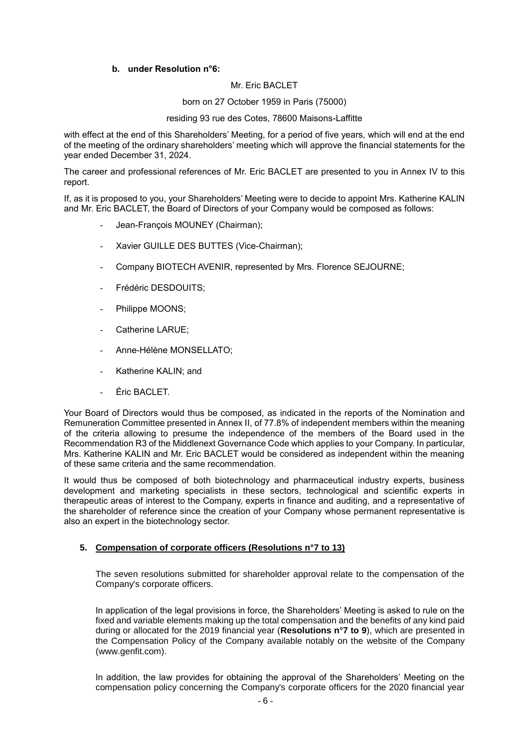# **b. under Resolution n°6:**

# Mr. Eric BACLET

born on 27 October 1959 in Paris (75000)

#### residing 93 rue des Cotes, 78600 Maisons-Laffitte

with effect at the end of this Shareholders' Meeting, for a period of five years, which will end at the end of the meeting of the ordinary shareholders' meeting which will approve the financial statements for the year ended December 31, 2024.

The career and professional references of Mr. Eric BACLET are presented to you in Annex IV to this report.

If, as it is proposed to you, your Shareholders' Meeting were to decide to appoint Mrs. Katherine KALIN and Mr. Eric BACLET, the Board of Directors of your Company would be composed as follows:

- Jean-François MOUNEY (Chairman);
- Xavier GUILLE DES BUTTES (Vice-Chairman);
- Company BIOTECH AVENIR, represented by Mrs. Florence SEJOURNE;
- Frédéric DESDOUITS:
- Philippe MOONS;
- Catherine LARUE:
- Anne-Hélène MONSELLATO;
- Katherine KALIN; and
- Éric BACLET.

Your Board of Directors would thus be composed, as indicated in the reports of the Nomination and Remuneration Committee presented in Annex II, of 77.8% of independent members within the meaning of the criteria allowing to presume the independence of the members of the Board used in the Recommendation R3 of the Middlenext Governance Code which applies to your Company. In particular, Mrs. Katherine KALIN and Mr. Eric BACLET would be considered as independent within the meaning of these same criteria and the same recommendation.

It would thus be composed of both biotechnology and pharmaceutical industry experts, business development and marketing specialists in these sectors, technological and scientific experts in therapeutic areas of interest to the Company, experts in finance and auditing, and a representative of the shareholder of reference since the creation of your Company whose permanent representative is also an expert in the biotechnology sector.

# **5. Compensation of corporate officers (Resolutions n°7 to 13)**

The seven resolutions submitted for shareholder approval relate to the compensation of the Company's corporate officers.

In application of the legal provisions in force, the Shareholders' Meeting is asked to rule on the fixed and variable elements making up the total compensation and the benefits of any kind paid during or allocated for the 2019 financial year (**Resolutions n°7 to 9**), which are presented in the Compensation Policy of the Company available notably on the website of the Company (www.genfit.com).

In addition, the law provides for obtaining the approval of the Shareholders' Meeting on the compensation policy concerning the Company's corporate officers for the 2020 financial year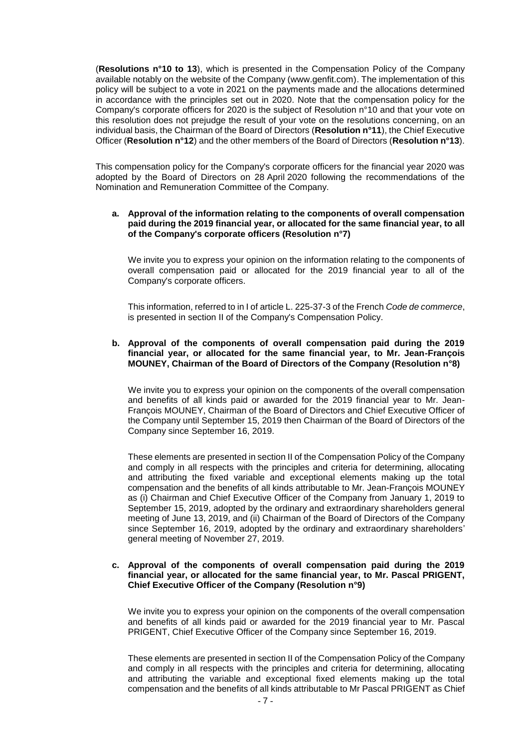(**Resolutions n°10 to 13**), which is presented in the Compensation Policy of the Company available notably on the website of the Company (www.genfit.com). The implementation of this policy will be subject to a vote in 2021 on the payments made and the allocations determined in accordance with the principles set out in 2020. Note that the compensation policy for the Company's corporate officers for 2020 is the subject of Resolution n°10 and that your vote on this resolution does not prejudge the result of your vote on the resolutions concerning, on an individual basis, the Chairman of the Board of Directors (**Resolution n°11**), the Chief Executive Officer (**Resolution n°12**) and the other members of the Board of Directors (**Resolution n°13**).

This compensation policy for the Company's corporate officers for the financial year 2020 was adopted by the Board of Directors on 28 April 2020 following the recommendations of the Nomination and Remuneration Committee of the Company.

#### **a. Approval of the information relating to the components of overall compensation paid during the 2019 financial year, or allocated for the same financial year, to all of the Company's corporate officers (Resolution n°7)**

We invite you to express your opinion on the information relating to the components of overall compensation paid or allocated for the 2019 financial year to all of the Company's corporate officers.

This information, referred to in I of article L. 225-37-3 of the French *Code de commerce*, is presented in section II of the Company's Compensation Policy.

#### **b. Approval of the components of overall compensation paid during the 2019 financial year, or allocated for the same financial year, to Mr. Jean-François MOUNEY, Chairman of the Board of Directors of the Company (Resolution n°8)**

We invite you to express your opinion on the components of the overall compensation and benefits of all kinds paid or awarded for the 2019 financial year to Mr. Jean-François MOUNEY, Chairman of the Board of Directors and Chief Executive Officer of the Company until September 15, 2019 then Chairman of the Board of Directors of the Company since September 16, 2019.

These elements are presented in section II of the Compensation Policy of the Company and comply in all respects with the principles and criteria for determining, allocating and attributing the fixed variable and exceptional elements making up the total compensation and the benefits of all kinds attributable to Mr. Jean-François MOUNEY as (i) Chairman and Chief Executive Officer of the Company from January 1, 2019 to September 15, 2019, adopted by the ordinary and extraordinary shareholders general meeting of June 13, 2019, and (ii) Chairman of the Board of Directors of the Company since September 16, 2019, adopted by the ordinary and extraordinary shareholders' general meeting of November 27, 2019.

#### **c. Approval of the components of overall compensation paid during the 2019 financial year, or allocated for the same financial year, to Mr. Pascal PRIGENT, Chief Executive Officer of the Company (Resolution n°9)**

We invite you to express your opinion on the components of the overall compensation and benefits of all kinds paid or awarded for the 2019 financial year to Mr. Pascal PRIGENT, Chief Executive Officer of the Company since September 16, 2019.

These elements are presented in section II of the Compensation Policy of the Company and comply in all respects with the principles and criteria for determining, allocating and attributing the variable and exceptional fixed elements making up the total compensation and the benefits of all kinds attributable to Mr Pascal PRIGENT as Chief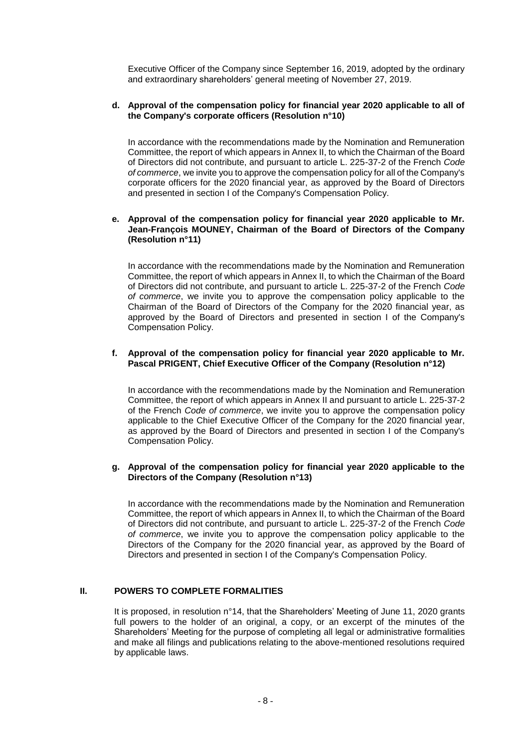Executive Officer of the Company since September 16, 2019, adopted by the ordinary and extraordinary shareholders' general meeting of November 27, 2019.

# **d. Approval of the compensation policy for financial year 2020 applicable to all of the Company's corporate officers (Resolution n°10)**

In accordance with the recommendations made by the Nomination and Remuneration Committee, the report of which appears in Annex II, to which the Chairman of the Board of Directors did not contribute, and pursuant to article L. 225-37-2 of the French *Code of commerce*, we invite you to approve the compensation policy for all of the Company's corporate officers for the 2020 financial year, as approved by the Board of Directors and presented in section I of the Company's Compensation Policy.

#### **e. Approval of the compensation policy for financial year 2020 applicable to Mr. Jean-François MOUNEY, Chairman of the Board of Directors of the Company (Resolution n°11)**

In accordance with the recommendations made by the Nomination and Remuneration Committee, the report of which appears in Annex II, to which the Chairman of the Board of Directors did not contribute, and pursuant to article L. 225-37-2 of the French *Code of commerce*, we invite you to approve the compensation policy applicable to the Chairman of the Board of Directors of the Company for the 2020 financial year, as approved by the Board of Directors and presented in section I of the Company's Compensation Policy.

# **f. Approval of the compensation policy for financial year 2020 applicable to Mr. Pascal PRIGENT, Chief Executive Officer of the Company (Resolution n°12)**

In accordance with the recommendations made by the Nomination and Remuneration Committee, the report of which appears in Annex II and pursuant to article L. 225-37-2 of the French *Code of commerce*, we invite you to approve the compensation policy applicable to the Chief Executive Officer of the Company for the 2020 financial year, as approved by the Board of Directors and presented in section I of the Company's Compensation Policy.

# **g. Approval of the compensation policy for financial year 2020 applicable to the Directors of the Company (Resolution n°13)**

In accordance with the recommendations made by the Nomination and Remuneration Committee, the report of which appears in Annex II, to which the Chairman of the Board of Directors did not contribute, and pursuant to article L. 225-37-2 of the French *Code of commerce*, we invite you to approve the compensation policy applicable to the Directors of the Company for the 2020 financial year, as approved by the Board of Directors and presented in section I of the Company's Compensation Policy.

# **II. POWERS TO COMPLETE FORMALITIES**

It is proposed, in resolution n°14, that the Shareholders' Meeting of June 11, 2020 grants full powers to the holder of an original, a copy, or an excerpt of the minutes of the Shareholders' Meeting for the purpose of completing all legal or administrative formalities and make all filings and publications relating to the above-mentioned resolutions required by applicable laws.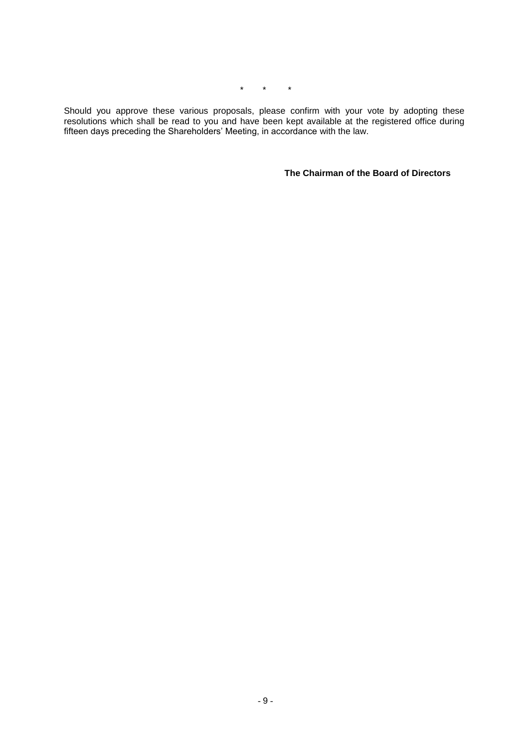\* \* \*

Should you approve these various proposals, please confirm with your vote by adopting these resolutions which shall be read to you and have been kept available at the registered office during fifteen days preceding the Shareholders' Meeting, in accordance with the law.

**The Chairman of the Board of Directors**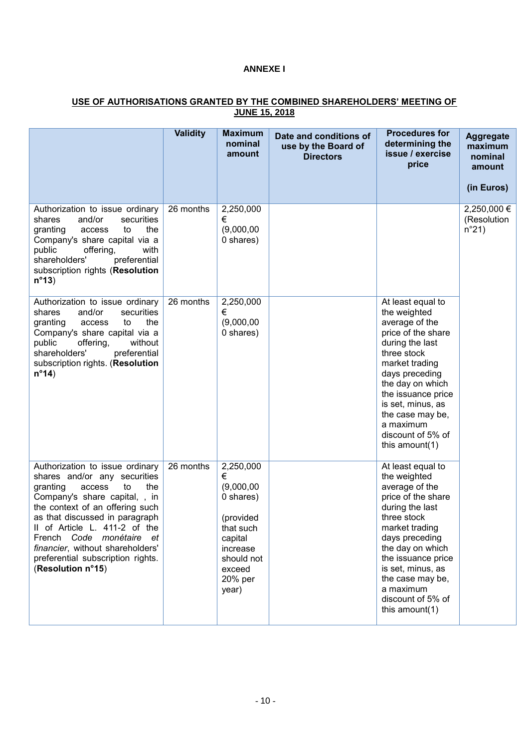# **ANNEXE I**

#### **USE OF AUTHORISATIONS GRANTED BY THE COMBINED SHAREHOLDERS' MEETING OF JUNE 15, 2018**

|                                                                                                                                                                                                                                                                                                                                                                     | <b>Validity</b> | <b>Maximum</b><br>nominal<br>amount                                                                                                    | Date and conditions of<br>use by the Board of<br><b>Directors</b> | <b>Procedures for</b><br>determining the<br>issue / exercise<br>price                                                                                                                                                                                                                     | <b>Aggregate</b><br>maximum<br>nominal<br>amount |
|---------------------------------------------------------------------------------------------------------------------------------------------------------------------------------------------------------------------------------------------------------------------------------------------------------------------------------------------------------------------|-----------------|----------------------------------------------------------------------------------------------------------------------------------------|-------------------------------------------------------------------|-------------------------------------------------------------------------------------------------------------------------------------------------------------------------------------------------------------------------------------------------------------------------------------------|--------------------------------------------------|
|                                                                                                                                                                                                                                                                                                                                                                     |                 |                                                                                                                                        |                                                                   |                                                                                                                                                                                                                                                                                           | (in Euros)                                       |
| Authorization to issue ordinary<br>and/or<br>shares<br>securities<br>the<br>granting<br>access<br>to<br>Company's share capital via a<br>offering,<br>public<br>with<br>preferential<br>shareholders'<br>subscription rights (Resolution<br>$n^{\circ}13$                                                                                                           | 26 months       | 2,250,000<br>€<br>(9,000,00)<br>0 shares)                                                                                              |                                                                   |                                                                                                                                                                                                                                                                                           | 2,250,000 €<br>(Resolution<br>$n^{\circ}21$      |
| Authorization to issue ordinary<br>shares<br>and/or<br>securities<br>the<br>granting<br>access<br>to<br>Company's share capital via a<br>public<br>offering,<br>without<br>shareholders'<br>preferential<br>subscription rights. (Resolution<br>$n^{\circ}14$                                                                                                       | 26 months       | 2,250,000<br>€<br>(9,000,00)<br>0 shares)                                                                                              |                                                                   | At least equal to<br>the weighted<br>average of the<br>price of the share<br>during the last<br>three stock<br>market trading<br>days preceding<br>the day on which<br>the issuance price<br>is set, minus, as<br>the case may be,<br>a maximum<br>discount of 5% of<br>this amount $(1)$ |                                                  |
| Authorization to issue ordinary<br>shares and/or any securities<br>granting<br>access<br>to<br>the<br>Company's share capital, , in<br>the context of an offering such<br>as that discussed in paragraph<br>II of Article L. 411-2 of the<br>French Code monétaire et<br>financier, without shareholders'<br>preferential subscription rights.<br>(Resolution n°15) | 26 months       | 2,250,000<br>€<br>(9,000,00)<br>0 shares)<br>(provided<br>that such<br>capital<br>increase<br>should not<br>exceed<br>20% per<br>year) |                                                                   | At least equal to<br>the weighted<br>average of the<br>price of the share<br>during the last<br>three stock<br>market trading<br>days preceding<br>the day on which<br>the issuance price<br>is set, minus, as<br>the case may be,<br>a maximum<br>discount of 5% of<br>this amount(1)    |                                                  |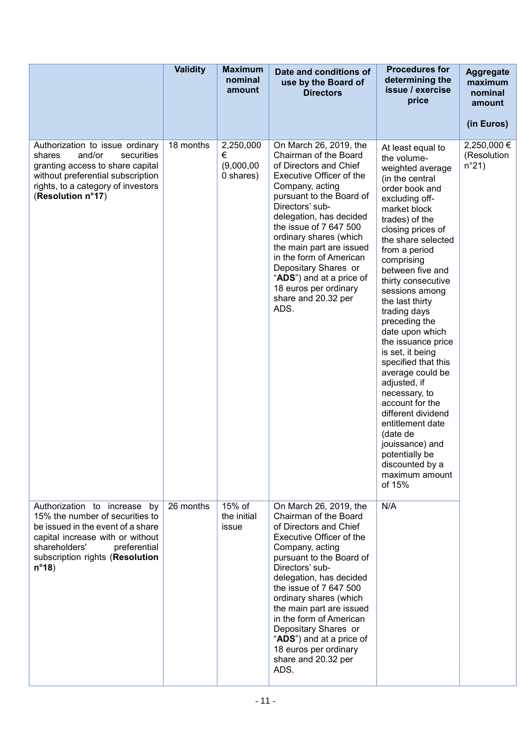|                                                                                                                                                                                                                               | <b>Validity</b> | <b>Maximum</b><br>nominal<br>amount       | Date and conditions of<br>use by the Board of<br><b>Directors</b>                                                                                                                                                                                                                                                                                                                                                         | <b>Procedures for</b><br>determining the<br>issue / exercise<br>price                                                                                                                                                                                                                                                                                                                                                                                                                                                                                                                                                                         | <b>Aggregate</b><br>maximum<br>nominal<br>amount<br>(in Euros) |
|-------------------------------------------------------------------------------------------------------------------------------------------------------------------------------------------------------------------------------|-----------------|-------------------------------------------|---------------------------------------------------------------------------------------------------------------------------------------------------------------------------------------------------------------------------------------------------------------------------------------------------------------------------------------------------------------------------------------------------------------------------|-----------------------------------------------------------------------------------------------------------------------------------------------------------------------------------------------------------------------------------------------------------------------------------------------------------------------------------------------------------------------------------------------------------------------------------------------------------------------------------------------------------------------------------------------------------------------------------------------------------------------------------------------|----------------------------------------------------------------|
| Authorization to issue ordinary<br>and/or<br>shares<br>securities<br>granting access to share capital<br>without preferential subscription<br>rights, to a category of investors<br>(Resolution n°17)                         | 18 months       | 2,250,000<br>€<br>(9,000,00)<br>0 shares) | On March 26, 2019, the<br>Chairman of the Board<br>of Directors and Chief<br>Executive Officer of the<br>Company, acting<br>pursuant to the Board of<br>Directors' sub-<br>delegation, has decided<br>the issue of 7 647 500<br>ordinary shares (which<br>the main part are issued<br>in the form of American<br>Depositary Shares or<br>"ADS") and at a price of<br>18 euros per ordinary<br>share and 20.32 per<br>ADS. | At least equal to<br>the volume-<br>weighted average<br>(in the central<br>order book and<br>excluding off-<br>market block<br>trades) of the<br>closing prices of<br>the share selected<br>from a period<br>comprising<br>between five and<br>thirty consecutive<br>sessions among<br>the last thirty<br>trading days<br>preceding the<br>date upon which<br>the issuance price<br>is set, it being<br>specified that this<br>average could be<br>adjusted, if<br>necessary, to<br>account for the<br>different dividend<br>entitlement date<br>(date de<br>jouissance) and<br>potentially be<br>discounted by a<br>maximum amount<br>of 15% | 2,250,000 €<br>(Resolution<br>$n^{\circ}21$                    |
| Authorization to increase by<br>15% the number of securities to<br>be issued in the event of a share<br>capital increase with or without<br>shareholders'<br>preferential<br>subscription rights (Resolution<br>$n^{\circ}18$ | 26 months       | 15% of<br>the initial<br>issue            | On March 26, 2019, the<br>Chairman of the Board<br>of Directors and Chief<br>Executive Officer of the<br>Company, acting<br>pursuant to the Board of<br>Directors' sub-<br>delegation, has decided<br>the issue of 7 647 500<br>ordinary shares (which<br>the main part are issued<br>in the form of American<br>Depositary Shares or<br>"ADS") and at a price of<br>18 euros per ordinary<br>share and 20.32 per<br>ADS. | N/A                                                                                                                                                                                                                                                                                                                                                                                                                                                                                                                                                                                                                                           |                                                                |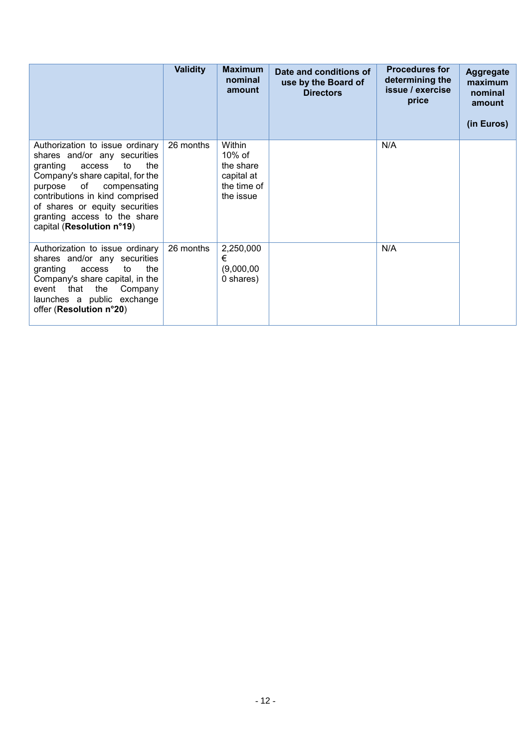|                                                                                                                                                                                                                                                                                                     | <b>Validity</b> | <b>Maximum</b><br>nominal<br>amount                                        | Date and conditions of<br>use by the Board of<br><b>Directors</b> | <b>Procedures for</b><br>determining the<br>issue / exercise<br>price | <b>Aggregate</b><br>maximum<br>nominal<br>amount<br>(in Euros) |
|-----------------------------------------------------------------------------------------------------------------------------------------------------------------------------------------------------------------------------------------------------------------------------------------------------|-----------------|----------------------------------------------------------------------------|-------------------------------------------------------------------|-----------------------------------------------------------------------|----------------------------------------------------------------|
| Authorization to issue ordinary<br>shares and/or any securities<br>the<br>granting<br>access<br>to<br>Company's share capital, for the<br>purpose of compensating<br>contributions in kind comprised<br>of shares or equity securities<br>granting access to the share<br>capital (Resolution n°19) | 26 months       | Within<br>$10\%$ of<br>the share<br>capital at<br>the time of<br>the issue |                                                                   | N/A                                                                   |                                                                |
| Authorization to issue ordinary<br>shares and/or any securities<br>granting<br>the<br>to<br>access<br>Company's share capital, in the<br>the<br>event that<br>Company<br>launches a public exchange<br>offer (Resolution n°20)                                                                      | 26 months       | 2,250,000<br>€<br>(9,000,00)<br>0 shares)                                  |                                                                   | N/A                                                                   |                                                                |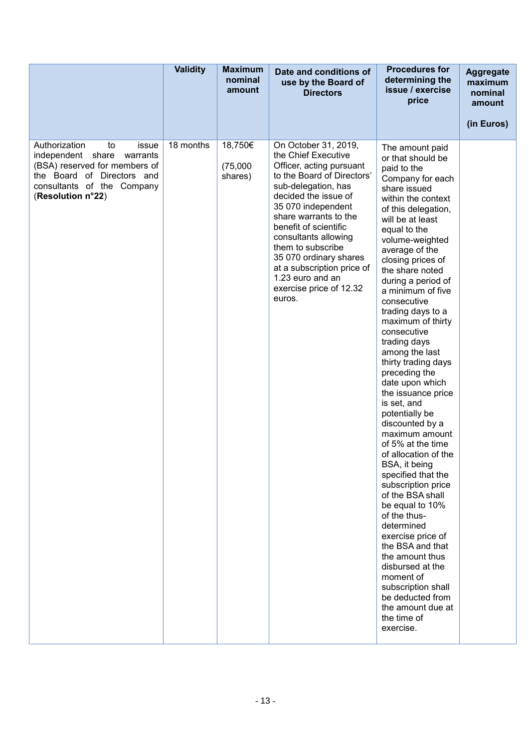|                                                                                                                                                                                 | <b>Validity</b> | <b>Maximum</b><br>nominal<br>amount | Date and conditions of<br>use by the Board of<br><b>Directors</b>                                                                                                                                                                                                                                                                                                                          | <b>Procedures for</b><br>determining the<br>issue / exercise<br>price                                                                                                                                                                                                                                                                                                                                                                                                                                                                                                                                                                                                                                                                                                                                                                                                                                                                    | <b>Aggregate</b><br>maximum<br>nominal<br>amount<br>(in Euros) |
|---------------------------------------------------------------------------------------------------------------------------------------------------------------------------------|-----------------|-------------------------------------|--------------------------------------------------------------------------------------------------------------------------------------------------------------------------------------------------------------------------------------------------------------------------------------------------------------------------------------------------------------------------------------------|------------------------------------------------------------------------------------------------------------------------------------------------------------------------------------------------------------------------------------------------------------------------------------------------------------------------------------------------------------------------------------------------------------------------------------------------------------------------------------------------------------------------------------------------------------------------------------------------------------------------------------------------------------------------------------------------------------------------------------------------------------------------------------------------------------------------------------------------------------------------------------------------------------------------------------------|----------------------------------------------------------------|
| Authorization<br>issue<br>to<br>independent share<br>warrants<br>(BSA) reserved for members of<br>the Board of Directors and<br>consultants of the Company<br>(Resolution n°22) | 18 months       | 18,750€<br>(75,000)<br>shares)      | On October 31, 2019,<br>the Chief Executive<br>Officer, acting pursuant<br>to the Board of Directors'<br>sub-delegation, has<br>decided the issue of<br>35 070 independent<br>share warrants to the<br>benefit of scientific<br>consultants allowing<br>them to subscribe<br>35 070 ordinary shares<br>at a subscription price of<br>1.23 euro and an<br>exercise price of 12.32<br>euros. | The amount paid<br>or that should be<br>paid to the<br>Company for each<br>share issued<br>within the context<br>of this delegation,<br>will be at least<br>equal to the<br>volume-weighted<br>average of the<br>closing prices of<br>the share noted<br>during a period of<br>a minimum of five<br>consecutive<br>trading days to a<br>maximum of thirty<br>consecutive<br>trading days<br>among the last<br>thirty trading days<br>preceding the<br>date upon which<br>the issuance price<br>is set, and<br>potentially be<br>discounted by a<br>maximum amount<br>of 5% at the time<br>of allocation of the<br>BSA, it being<br>specified that the<br>subscription price<br>of the BSA shall<br>be equal to 10%<br>of the thus-<br>determined<br>exercise price of<br>the BSA and that<br>the amount thus<br>disbursed at the<br>moment of<br>subscription shall<br>be deducted from<br>the amount due at<br>the time of<br>exercise. |                                                                |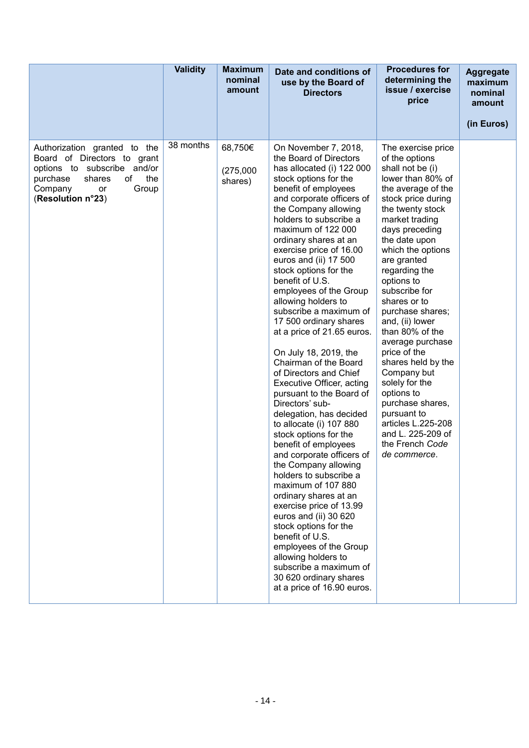|                                                                                                                                                                              | <b>Validity</b> | <b>Maximum</b><br>nominal<br>amount | Date and conditions of<br>use by the Board of<br><b>Directors</b>                                                                                                                                                                                                                                                                                                                                                                                                                                                                                                                                                                                                                                                                                                                                                                                                                                                                                                                                                                                                                                                             | <b>Procedures for</b><br>determining the<br>issue / exercise<br>price                                                                                                                                                                                                                                                                                                                                                                                                                                                                                                                      | <b>Aggregate</b><br>maximum<br>nominal<br>amount<br>(in Euros) |
|------------------------------------------------------------------------------------------------------------------------------------------------------------------------------|-----------------|-------------------------------------|-------------------------------------------------------------------------------------------------------------------------------------------------------------------------------------------------------------------------------------------------------------------------------------------------------------------------------------------------------------------------------------------------------------------------------------------------------------------------------------------------------------------------------------------------------------------------------------------------------------------------------------------------------------------------------------------------------------------------------------------------------------------------------------------------------------------------------------------------------------------------------------------------------------------------------------------------------------------------------------------------------------------------------------------------------------------------------------------------------------------------------|--------------------------------------------------------------------------------------------------------------------------------------------------------------------------------------------------------------------------------------------------------------------------------------------------------------------------------------------------------------------------------------------------------------------------------------------------------------------------------------------------------------------------------------------------------------------------------------------|----------------------------------------------------------------|
| Authorization granted to the<br>Board of Directors to grant<br>options to subscribe and/or<br>the<br>of<br>purchase<br>shares<br>Company<br>Group<br>or<br>(Resolution n°23) | 38 months       | 68,750€<br>(275,000)<br>shares)     | On November 7, 2018,<br>the Board of Directors<br>has allocated (i) 122 000<br>stock options for the<br>benefit of employees<br>and corporate officers of<br>the Company allowing<br>holders to subscribe a<br>maximum of 122 000<br>ordinary shares at an<br>exercise price of 16.00<br>euros and (ii) 17 500<br>stock options for the<br>benefit of U.S.<br>employees of the Group<br>allowing holders to<br>subscribe a maximum of<br>17 500 ordinary shares<br>at a price of 21.65 euros.<br>On July 18, 2019, the<br>Chairman of the Board<br>of Directors and Chief<br>Executive Officer, acting<br>pursuant to the Board of<br>Directors' sub-<br>delegation, has decided<br>to allocate (i) 107 880<br>stock options for the<br>benefit of employees<br>and corporate officers of<br>the Company allowing<br>holders to subscribe a<br>maximum of 107 880<br>ordinary shares at an<br>exercise price of 13.99<br>euros and (ii) 30 620<br>stock options for the<br>benefit of U.S.<br>employees of the Group<br>allowing holders to<br>subscribe a maximum of<br>30 620 ordinary shares<br>at a price of 16.90 euros. | The exercise price<br>of the options<br>shall not be (i)<br>lower than 80% of<br>the average of the<br>stock price during<br>the twenty stock<br>market trading<br>days preceding<br>the date upon<br>which the options<br>are granted<br>regarding the<br>options to<br>subscribe for<br>shares or to<br>purchase shares;<br>and, (ii) lower<br>than 80% of the<br>average purchase<br>price of the<br>shares held by the<br>Company but<br>solely for the<br>options to<br>purchase shares,<br>pursuant to<br>articles L.225-208<br>and L. 225-209 of<br>the French Code<br>de commerce. |                                                                |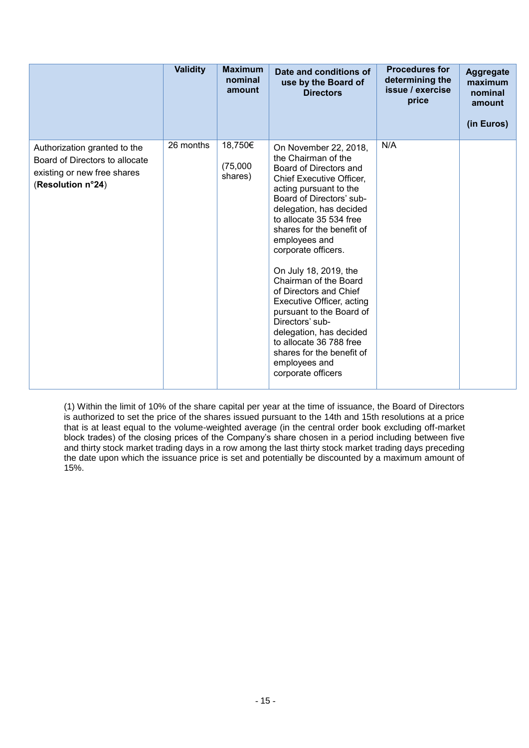|                                                                                                                    | <b>Validity</b> | <b>Maximum</b><br>nominal<br>amount | Date and conditions of<br>use by the Board of<br><b>Directors</b>                                                                                                                                                                                                                                                                                                                                                                                                                                                                                                     | <b>Procedures for</b><br>determining the<br>issue / exercise<br>price | <b>Aggregate</b><br>maximum<br>nominal<br>amount<br>(in Euros) |
|--------------------------------------------------------------------------------------------------------------------|-----------------|-------------------------------------|-----------------------------------------------------------------------------------------------------------------------------------------------------------------------------------------------------------------------------------------------------------------------------------------------------------------------------------------------------------------------------------------------------------------------------------------------------------------------------------------------------------------------------------------------------------------------|-----------------------------------------------------------------------|----------------------------------------------------------------|
| Authorization granted to the<br>Board of Directors to allocate<br>existing or new free shares<br>(Resolution n°24) | 26 months       | 18,750€<br>(75,000)<br>shares)      | On November 22, 2018,<br>the Chairman of the<br>Board of Directors and<br>Chief Executive Officer,<br>acting pursuant to the<br>Board of Directors' sub-<br>delegation, has decided<br>to allocate 35 534 free<br>shares for the benefit of<br>employees and<br>corporate officers.<br>On July 18, 2019, the<br>Chairman of the Board<br>of Directors and Chief<br>Executive Officer, acting<br>pursuant to the Board of<br>Directors' sub-<br>delegation, has decided<br>to allocate 36 788 free<br>shares for the benefit of<br>employees and<br>corporate officers | N/A                                                                   |                                                                |

(1) Within the limit of 10% of the share capital per year at the time of issuance, the Board of Directors is authorized to set the price of the shares issued pursuant to the 14th and 15th resolutions at a price that is at least equal to the volume-weighted average (in the central order book excluding off-market block trades) of the closing prices of the Company's share chosen in a period including between five and thirty stock market trading days in a row among the last thirty stock market trading days preceding the date upon which the issuance price is set and potentially be discounted by a maximum amount of 15%.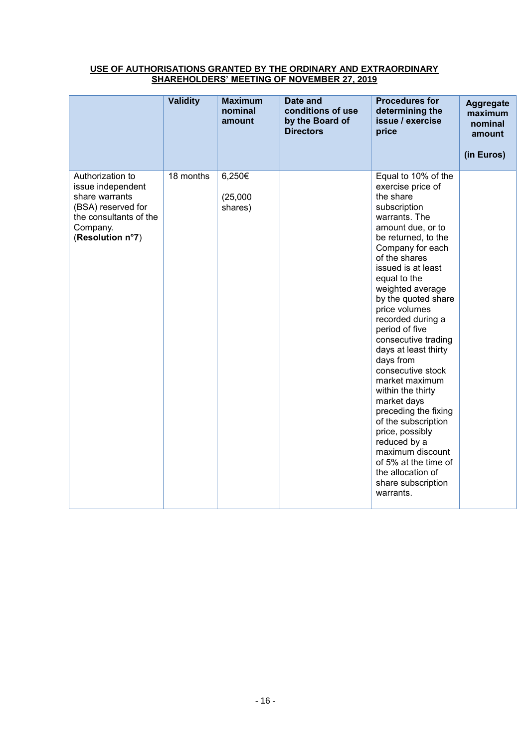# **USE OF AUTHORISATIONS GRANTED BY THE ORDINARY AND EXTRAORDINARY SHAREHOLDERS' MEETING OF NOVEMBER 27, 2019**

|                                                                                                                                         | <b>Validity</b> | <b>Maximum</b><br>nominal<br>amount | Date and<br>conditions of use<br>by the Board of<br><b>Directors</b> | <b>Procedures for</b><br>determining the<br>issue / exercise<br>price                                                                                                                                                                                                                                                                                                                                                                                                                                                                                                                                                                         | <b>Aggregate</b><br>maximum<br>nominal<br>amount<br>(in Euros) |
|-----------------------------------------------------------------------------------------------------------------------------------------|-----------------|-------------------------------------|----------------------------------------------------------------------|-----------------------------------------------------------------------------------------------------------------------------------------------------------------------------------------------------------------------------------------------------------------------------------------------------------------------------------------------------------------------------------------------------------------------------------------------------------------------------------------------------------------------------------------------------------------------------------------------------------------------------------------------|----------------------------------------------------------------|
| Authorization to<br>issue independent<br>share warrants<br>(BSA) reserved for<br>the consultants of the<br>Company.<br>(Resolution n°7) | 18 months       | 6,250€<br>(25,000)<br>shares)       |                                                                      | Equal to 10% of the<br>exercise price of<br>the share<br>subscription<br>warrants. The<br>amount due, or to<br>be returned, to the<br>Company for each<br>of the shares<br>issued is at least<br>equal to the<br>weighted average<br>by the quoted share<br>price volumes<br>recorded during a<br>period of five<br>consecutive trading<br>days at least thirty<br>days from<br>consecutive stock<br>market maximum<br>within the thirty<br>market days<br>preceding the fixing<br>of the subscription<br>price, possibly<br>reduced by a<br>maximum discount<br>of 5% at the time of<br>the allocation of<br>share subscription<br>warrants. |                                                                |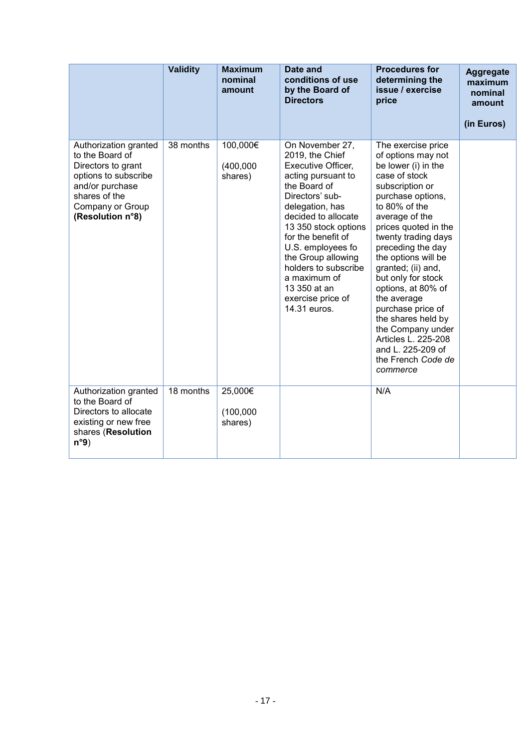|                                                                                                                                                                    | <b>Validity</b> | <b>Maximum</b><br>nominal<br>amount | Date and<br>conditions of use<br>by the Board of<br><b>Directors</b>                                                                                                                                                                                                                                                                              | <b>Procedures for</b><br>determining the<br>issue / exercise<br>price                                                                                                                                                                                                                                                                                                                                                                                                                 | <b>Aggregate</b><br>maximum<br>nominal<br>amount |
|--------------------------------------------------------------------------------------------------------------------------------------------------------------------|-----------------|-------------------------------------|---------------------------------------------------------------------------------------------------------------------------------------------------------------------------------------------------------------------------------------------------------------------------------------------------------------------------------------------------|---------------------------------------------------------------------------------------------------------------------------------------------------------------------------------------------------------------------------------------------------------------------------------------------------------------------------------------------------------------------------------------------------------------------------------------------------------------------------------------|--------------------------------------------------|
|                                                                                                                                                                    |                 |                                     |                                                                                                                                                                                                                                                                                                                                                   |                                                                                                                                                                                                                                                                                                                                                                                                                                                                                       | (in Euros)                                       |
| Authorization granted<br>to the Board of<br>Directors to grant<br>options to subscribe<br>and/or purchase<br>shares of the<br>Company or Group<br>(Resolution n°8) | 38 months       | 100,000€<br>(400,000)<br>shares)    | On November 27,<br>2019, the Chief<br>Executive Officer,<br>acting pursuant to<br>the Board of<br>Directors' sub-<br>delegation, has<br>decided to allocate<br>13 350 stock options<br>for the benefit of<br>U.S. employees fo<br>the Group allowing<br>holders to subscribe<br>a maximum of<br>13 350 at an<br>exercise price of<br>14.31 euros. | The exercise price<br>of options may not<br>be lower (i) in the<br>case of stock<br>subscription or<br>purchase options,<br>to 80% of the<br>average of the<br>prices quoted in the<br>twenty trading days<br>preceding the day<br>the options will be<br>granted; (ii) and,<br>but only for stock<br>options, at 80% of<br>the average<br>purchase price of<br>the shares held by<br>the Company under<br>Articles L. 225-208<br>and L. 225-209 of<br>the French Code de<br>commerce |                                                  |
| Authorization granted<br>to the Board of<br>Directors to allocate<br>existing or new free<br>shares (Resolution<br>n°9)                                            | 18 months       | 25,000€<br>(100,000)<br>shares)     |                                                                                                                                                                                                                                                                                                                                                   | N/A                                                                                                                                                                                                                                                                                                                                                                                                                                                                                   |                                                  |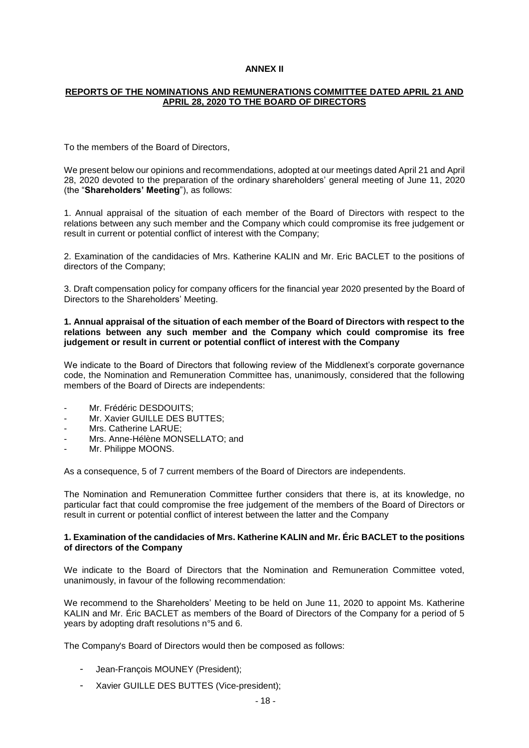# **ANNEX II**

# **REPORTS OF THE NOMINATIONS AND REMUNERATIONS COMMITTEE DATED APRIL 21 AND APRIL 28, 2020 TO THE BOARD OF DIRECTORS**

To the members of the Board of Directors,

We present below our opinions and recommendations, adopted at our meetings dated April 21 and April 28, 2020 devoted to the preparation of the ordinary shareholders' general meeting of June 11, 2020 (the "**Shareholders' Meeting**"), as follows:

1. Annual appraisal of the situation of each member of the Board of Directors with respect to the relations between any such member and the Company which could compromise its free judgement or result in current or potential conflict of interest with the Company;

2. Examination of the candidacies of Mrs. Katherine KALIN and Mr. Eric BACLET to the positions of directors of the Company;

3. Draft compensation policy for company officers for the financial year 2020 presented by the Board of Directors to the Shareholders' Meeting.

#### **1. Annual appraisal of the situation of each member of the Board of Directors with respect to the relations between any such member and the Company which could compromise its free judgement or result in current or potential conflict of interest with the Company**

We indicate to the Board of Directors that following review of the Middlenext's corporate governance code, the Nomination and Remuneration Committee has, unanimously, considered that the following members of the Board of Directs are independents:

- Mr. Frédéric DESDOUITS;
- Mr. Xavier GUILLE DES BUTTES:
- Mrs. Catherine LARUE;
- Mrs. Anne-Hélène MONSELLATO; and
- Mr. Philippe MOONS.

As a consequence, 5 of 7 current members of the Board of Directors are independents.

The Nomination and Remuneration Committee further considers that there is, at its knowledge, no particular fact that could compromise the free judgement of the members of the Board of Directors or result in current or potential conflict of interest between the latter and the Company

# **1. Examination of the candidacies of Mrs. Katherine KALIN and Mr. Éric BACLET to the positions of directors of the Company**

We indicate to the Board of Directors that the Nomination and Remuneration Committee voted, unanimously, in favour of the following recommendation:

We recommend to the Shareholders' Meeting to be held on June 11, 2020 to appoint Ms. Katherine KALIN and Mr. Éric BACLET as members of the Board of Directors of the Company for a period of 5 years by adopting draft resolutions n°5 and 6.

The Company's Board of Directors would then be composed as follows:

- Jean-François MOUNEY (President);
- Xavier GUILLE DES BUTTES (Vice-president);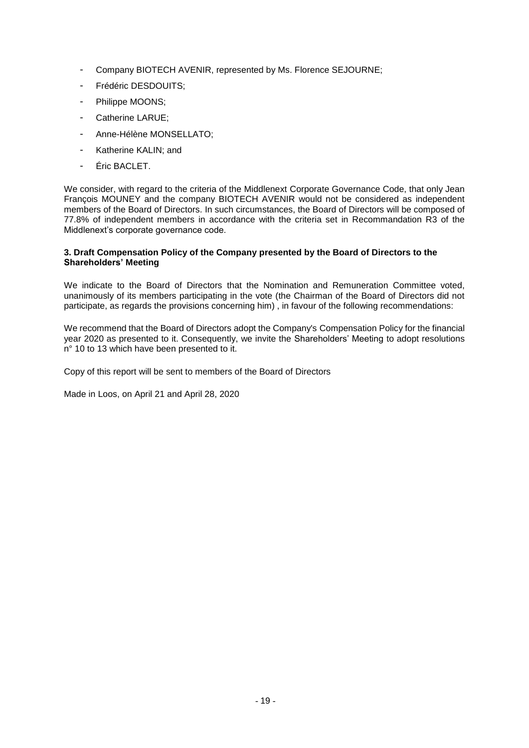- Company BIOTECH AVENIR, represented by Ms. Florence SEJOURNE;
- Frédéric DESDOUITS:
- Philippe MOONS;
- Catherine LARUE;
- Anne-Hélène MONSELLATO;
- Katherine KALIN: and
- Éric BACLET.

We consider, with regard to the criteria of the Middlenext Corporate Governance Code, that only Jean François MOUNEY and the company BIOTECH AVENIR would not be considered as independent members of the Board of Directors. In such circumstances, the Board of Directors will be composed of 77.8% of independent members in accordance with the criteria set in Recommandation R3 of the Middlenext's corporate governance code.

# **3. Draft Compensation Policy of the Company presented by the Board of Directors to the Shareholders' Meeting**

We indicate to the Board of Directors that the Nomination and Remuneration Committee voted, unanimously of its members participating in the vote (the Chairman of the Board of Directors did not participate, as regards the provisions concerning him) , in favour of the following recommendations:

We recommend that the Board of Directors adopt the Company's Compensation Policy for the financial year 2020 as presented to it. Consequently, we invite the Shareholders' Meeting to adopt resolutions n° 10 to 13 which have been presented to it.

Copy of this report will be sent to members of the Board of Directors

Made in Loos, on April 21 and April 28, 2020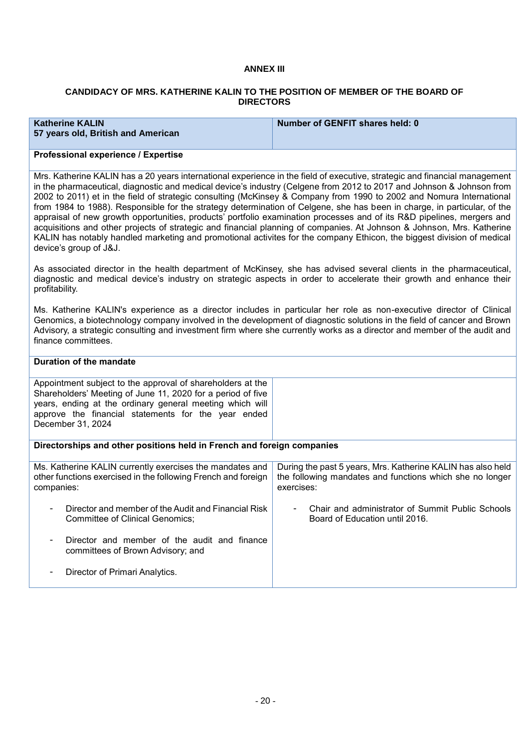# **ANNEX III**

# **CANDIDACY OF MRS. KATHERINE KALIN TO THE POSITION OF MEMBER OF THE BOARD OF DIRECTORS**

| <b>Katherine KALIN</b><br>57 years old, British and American | Number of GENFIT shares held: 0 |
|--------------------------------------------------------------|---------------------------------|
| Ductional and automan I Fundation                            |                                 |

#### **Professional experience / Expertise**

Mrs. Katherine KALIN has a 20 years international experience in the field of executive, strategic and financial management in the pharmaceutical, diagnostic and medical device's industry (Celgene from 2012 to 2017 and Johnson & Johnson from 2002 to 2011) et in the field of strategic consulting (McKinsey & Company from 1990 to 2002 and Nomura International from 1984 to 1988). Responsible for the strategy determination of Celgene, she has been in charge, in particular, of the appraisal of new growth opportunities, products' portfolio examination processes and of its R&D pipelines, mergers and acquisitions and other projects of strategic and financial planning of companies. At Johnson & Johnson, Mrs. Katherine KALIN has notably handled marketing and promotional activites for the company Ethicon, the biggest division of medical device's group of J&J.

As associated director in the health department of McKinsey, she has advised several clients in the pharmaceutical, diagnostic and medical device's industry on strategic aspects in order to accelerate their growth and enhance their profitability.

Ms. Katherine KALIN's experience as a director includes in particular her role as non-executive director of Clinical Genomics, a biotechnology company involved in the development of diagnostic solutions in the field of cancer and Brown Advisory, a strategic consulting and investment firm where she currently works as a director and member of the audit and finance committees.

| Duration of the mandate                                                                                                                                                                                                                                           |                                                                                                                                       |
|-------------------------------------------------------------------------------------------------------------------------------------------------------------------------------------------------------------------------------------------------------------------|---------------------------------------------------------------------------------------------------------------------------------------|
| Appointment subject to the approval of shareholders at the<br>Shareholders' Meeting of June 11, 2020 for a period of five<br>years, ending at the ordinary general meeting which will<br>approve the financial statements for the year ended<br>December 31, 2024 |                                                                                                                                       |
| Directorships and other positions held in French and foreign companies                                                                                                                                                                                            |                                                                                                                                       |
| Ms. Katherine KALIN currently exercises the mandates and<br>other functions exercised in the following French and foreign<br>companies:                                                                                                                           | During the past 5 years, Mrs. Katherine KALIN has also held<br>the following mandates and functions which she no longer<br>exercises: |
| Director and member of the Audit and Financial Risk<br>Committee of Clinical Genomics:                                                                                                                                                                            | Chair and administrator of Summit Public Schools<br>Board of Education until 2016.                                                    |
| Director and member of the audit and finance<br>committees of Brown Advisory; and                                                                                                                                                                                 |                                                                                                                                       |
| Director of Primari Analytics.                                                                                                                                                                                                                                    |                                                                                                                                       |